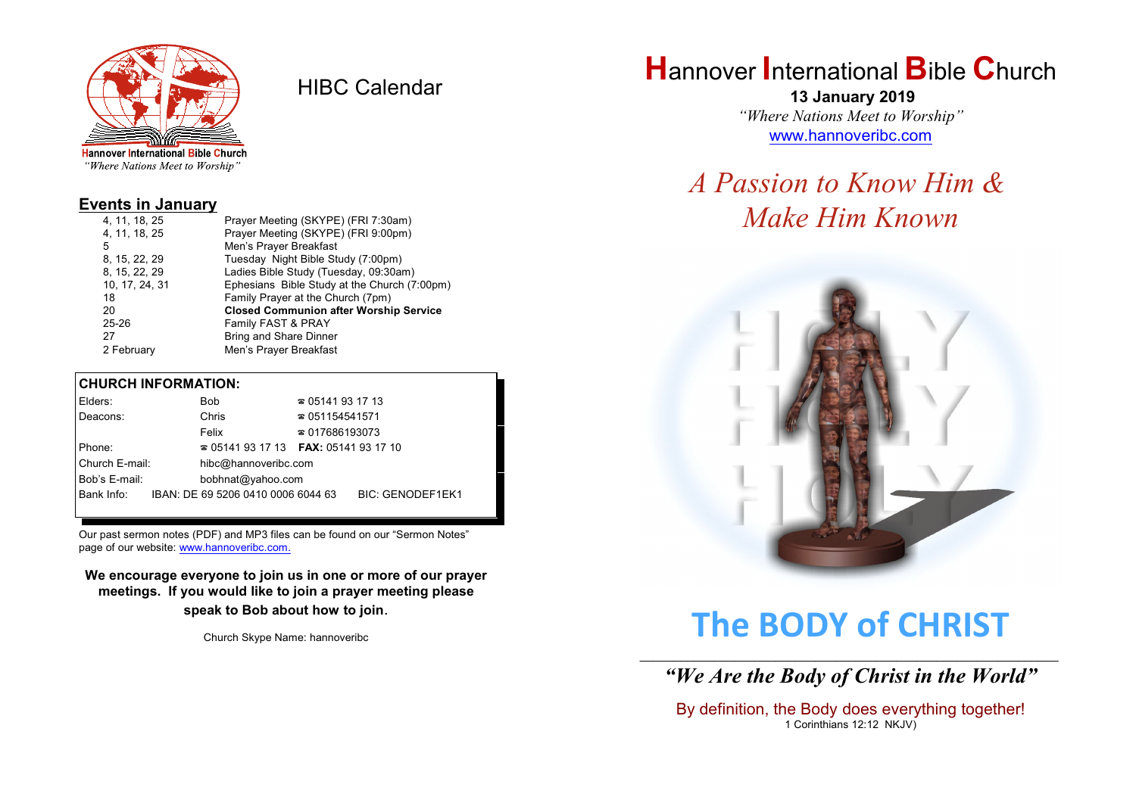

HIBC Calendar

"Where Nations Meet to Worship"

#### **Events in January**

| 4, 11, 18, 25  | Prayer Meeting (SKYPE) (FRI 7:30am)           |
|----------------|-----------------------------------------------|
| 4, 11, 18, 25  | Prayer Meeting (SKYPE) (FRI 9:00pm)           |
| 5              | Men's Prayer Breakfast                        |
| 8, 15, 22, 29  | Tuesday Night Bible Study (7:00pm)            |
| 8, 15, 22, 29  | Ladies Bible Study (Tuesday, 09:30am)         |
| 10, 17, 24, 31 | Ephesians Bible Study at the Church (7:00pm)  |
| 18             | Family Prayer at the Church (7pm)             |
| 20             | <b>Closed Communion after Worship Service</b> |
| $25 - 26$      | Family FAST & PRAY                            |
| 27             | <b>Bring and Share Dinner</b>                 |
| 2 February     | Men's Prayer Breakfast                        |
|                |                                               |

#### **CHURCH INFORMATION:**

| Elders:                            |  | <b>Bob</b>                                    | $\approx 05141931713$  |                         |
|------------------------------------|--|-----------------------------------------------|------------------------|-------------------------|
| Deacons:                           |  | Chris                                         | $\approx 051154541571$ |                         |
|                                    |  | Felix                                         | $\approx 017686193073$ |                         |
| Phone:                             |  | $\approx 05141931713$ FAX: 0514193 17 10      |                        |                         |
| Church E-mail:                     |  | hibc@hannoveribc.com                          |                        |                         |
| Bob's E-mail:<br>bobhnat@yahoo.com |  |                                               |                        |                         |
|                                    |  | Bank Info: IBAN: DE 69 5206 0410 0006 6044 63 |                        | <b>BIC: GENODEF1EK1</b> |
|                                    |  |                                               |                        |                         |

Our past sermon notes (PDF) and MP3 files can be found on our "Sermon Notes" page of our website: [www.hannoveribc.com.](http://www.hannoveribc.com.)

**We encourage everyone to join us in one or more of our prayer meetings. If you would like to join a prayer meeting please speak to Bob about how to join**.

Church Skype Name: hannoveribc

## **H**annover **I**nternational **B**ible **C**hurch

 **13 January 2019** *"Where Nations Meet to Worship"* [www.hannoveribc.com](http://www.hannoveribc.com)

# *A Passion to Know Him & Make Him Known*



# **The BODY of CHRIST**

\_\_\_\_\_\_\_\_\_\_\_\_\_\_\_\_\_\_\_\_\_\_\_\_\_\_\_\_\_\_\_\_\_\_\_\_\_\_\_\_\_\_\_\_\_\_\_\_\_\_\_\_\_\_\_\_\_\_\_\_\_\_ *"We Are the Body of Christ in the World"*

By definition, the Body does everything together! 1 Corinthians 12:12 NKJV)